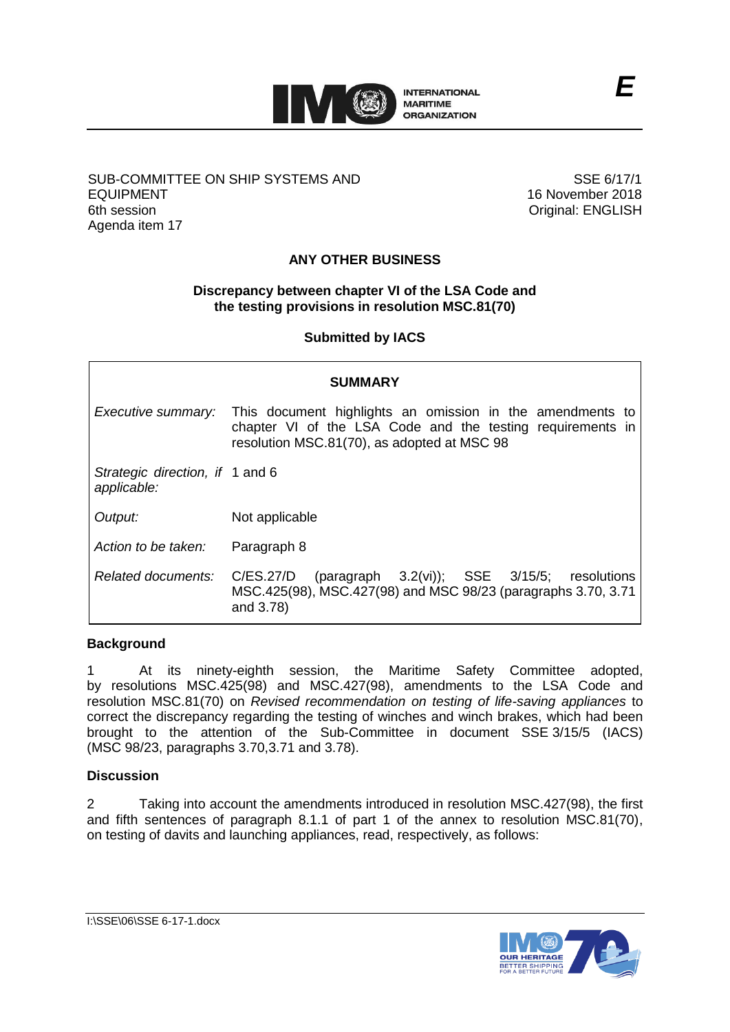

# SUB-COMMITTEE ON SHIP SYSTEMS AND EQUIPMENT 6th session Agenda item 17

SSE 6/17/1 16 November 2018 Original: ENGLISH

# **ANY OTHER BUSINESS**

### **Discrepancy between chapter VI of the LSA Code and the testing provisions in resolution MSC.81(70)**

**Submitted by IACS**

| <b>SUMMARY</b>                                 |                                                                                                                                                                        |
|------------------------------------------------|------------------------------------------------------------------------------------------------------------------------------------------------------------------------|
| Executive summary:                             | This document highlights an omission in the amendments to<br>chapter VI of the LSA Code and the testing requirements in<br>resolution MSC.81(70), as adopted at MSC 98 |
| Strategic direction, if 1 and 6<br>applicable: |                                                                                                                                                                        |
| Output:                                        | Not applicable                                                                                                                                                         |
| Action to be taken:                            | Paragraph 8                                                                                                                                                            |
| Related documents:                             | (paragraph 3.2(vi)); SSE 3/15/5; resolutions<br>C/ES.27/D<br>MSC.425(98), MSC.427(98) and MSC 98/23 (paragraphs 3.70, 3.71<br>and 3.78)                                |

#### **Background**

1 At its ninety-eighth session, the Maritime Safety Committee adopted, by resolutions MSC.425(98) and MSC.427(98), amendments to the LSA Code and resolution MSC.81(70) on *Revised recommendation on testing of life-saving appliances* to correct the discrepancy regarding the testing of winches and winch brakes, which had been brought to the attention of the Sub-Committee in document SSE 3/15/5 (IACS) (MSC 98/23, paragraphs 3.70,3.71 and 3.78).

### **Discussion**

2 Taking into account the amendments introduced in resolution MSC.427(98), the first and fifth sentences of paragraph 8.1.1 of part 1 of the annex to resolution MSC.81(70), on testing of davits and launching appliances, read, respectively, as follows: